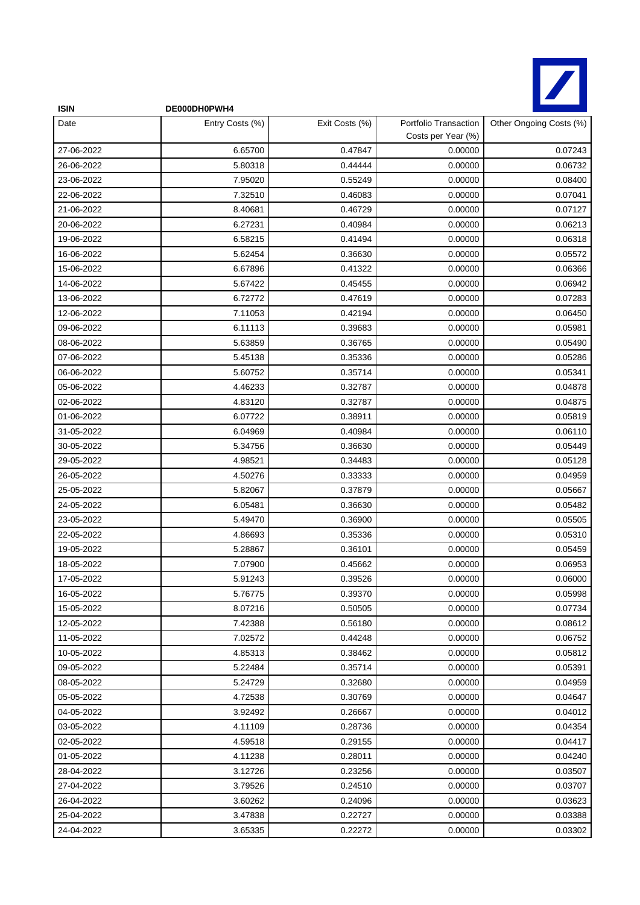

| <b>ISIN</b> | DE000DH0PWH4    |                |                                             |                         |
|-------------|-----------------|----------------|---------------------------------------------|-------------------------|
| Date        | Entry Costs (%) | Exit Costs (%) | Portfolio Transaction<br>Costs per Year (%) | Other Ongoing Costs (%) |
| 27-06-2022  | 6.65700         | 0.47847        | 0.00000                                     | 0.07243                 |
| 26-06-2022  | 5.80318         | 0.44444        | 0.00000                                     | 0.06732                 |
| 23-06-2022  | 7.95020         | 0.55249        | 0.00000                                     | 0.08400                 |
| 22-06-2022  | 7.32510         | 0.46083        | 0.00000                                     | 0.07041                 |
| 21-06-2022  | 8.40681         | 0.46729        | 0.00000                                     | 0.07127                 |
| 20-06-2022  | 6.27231         | 0.40984        | 0.00000                                     | 0.06213                 |
| 19-06-2022  | 6.58215         | 0.41494        | 0.00000                                     | 0.06318                 |
| 16-06-2022  | 5.62454         | 0.36630        | 0.00000                                     | 0.05572                 |
| 15-06-2022  | 6.67896         | 0.41322        | 0.00000                                     | 0.06366                 |
| 14-06-2022  | 5.67422         | 0.45455        | 0.00000                                     | 0.06942                 |
| 13-06-2022  | 6.72772         | 0.47619        | 0.00000                                     | 0.07283                 |
| 12-06-2022  | 7.11053         | 0.42194        | 0.00000                                     | 0.06450                 |
| 09-06-2022  | 6.11113         | 0.39683        | 0.00000                                     | 0.05981                 |
| 08-06-2022  | 5.63859         | 0.36765        | 0.00000                                     | 0.05490                 |
| 07-06-2022  | 5.45138         | 0.35336        | 0.00000                                     | 0.05286                 |
| 06-06-2022  | 5.60752         | 0.35714        | 0.00000                                     | 0.05341                 |
| 05-06-2022  | 4.46233         | 0.32787        | 0.00000                                     | 0.04878                 |
| 02-06-2022  | 4.83120         | 0.32787        | 0.00000                                     | 0.04875                 |
| 01-06-2022  | 6.07722         | 0.38911        | 0.00000                                     | 0.05819                 |
| 31-05-2022  | 6.04969         | 0.40984        | 0.00000                                     | 0.06110                 |
| 30-05-2022  | 5.34756         | 0.36630        | 0.00000                                     | 0.05449                 |
| 29-05-2022  | 4.98521         | 0.34483        | 0.00000                                     | 0.05128                 |
| 26-05-2022  | 4.50276         | 0.33333        | 0.00000                                     | 0.04959                 |
| 25-05-2022  | 5.82067         | 0.37879        | 0.00000                                     | 0.05667                 |
| 24-05-2022  | 6.05481         | 0.36630        | 0.00000                                     | 0.05482                 |
| 23-05-2022  | 5.49470         | 0.36900        | 0.00000                                     | 0.05505                 |
| 22-05-2022  | 4.86693         | 0.35336        | 0.00000                                     | 0.05310                 |
| 19-05-2022  | 5.28867         | 0.36101        | 0.00000                                     | 0.05459                 |
| 18-05-2022  | 7.07900         | 0.45662        | 0.00000                                     | 0.06953                 |
| 17-05-2022  | 5.91243         | 0.39526        | 0.00000                                     | 0.06000                 |
| 16-05-2022  | 5.76775         | 0.39370        | 0.00000                                     | 0.05998                 |
| 15-05-2022  | 8.07216         | 0.50505        | 0.00000                                     | 0.07734                 |
| 12-05-2022  | 7.42388         | 0.56180        | 0.00000                                     | 0.08612                 |
| 11-05-2022  | 7.02572         | 0.44248        | 0.00000                                     | 0.06752                 |
| 10-05-2022  | 4.85313         | 0.38462        | 0.00000                                     | 0.05812                 |
| 09-05-2022  | 5.22484         | 0.35714        | 0.00000                                     | 0.05391                 |
| 08-05-2022  | 5.24729         | 0.32680        | 0.00000                                     | 0.04959                 |
| 05-05-2022  | 4.72538         | 0.30769        | 0.00000                                     | 0.04647                 |
| 04-05-2022  | 3.92492         | 0.26667        | 0.00000                                     | 0.04012                 |
| 03-05-2022  | 4.11109         | 0.28736        | 0.00000                                     | 0.04354                 |
| 02-05-2022  | 4.59518         | 0.29155        | 0.00000                                     | 0.04417                 |
| 01-05-2022  | 4.11238         | 0.28011        | 0.00000                                     | 0.04240                 |
| 28-04-2022  | 3.12726         | 0.23256        | 0.00000                                     | 0.03507                 |
| 27-04-2022  | 3.79526         | 0.24510        | 0.00000                                     | 0.03707                 |
| 26-04-2022  | 3.60262         | 0.24096        | 0.00000                                     | 0.03623                 |
| 25-04-2022  | 3.47838         | 0.22727        | 0.00000                                     | 0.03388                 |
| 24-04-2022  | 3.65335         | 0.22272        | 0.00000                                     | 0.03302                 |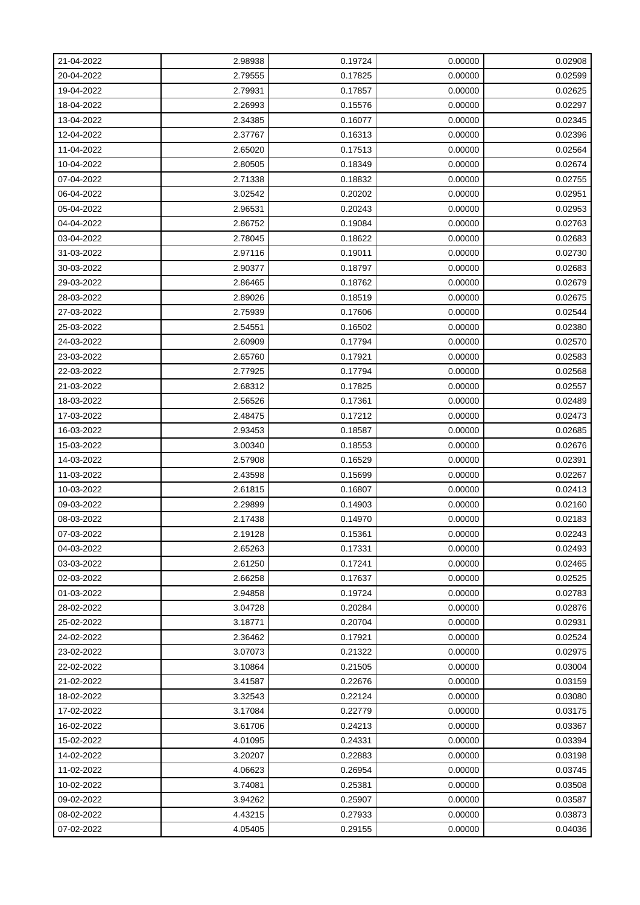| 21-04-2022 | 2.98938 | 0.19724 | 0.00000 | 0.02908 |
|------------|---------|---------|---------|---------|
| 20-04-2022 | 2.79555 | 0.17825 | 0.00000 | 0.02599 |
| 19-04-2022 | 2.79931 | 0.17857 | 0.00000 | 0.02625 |
| 18-04-2022 | 2.26993 | 0.15576 | 0.00000 | 0.02297 |
| 13-04-2022 | 2.34385 | 0.16077 | 0.00000 | 0.02345 |
| 12-04-2022 | 2.37767 | 0.16313 | 0.00000 | 0.02396 |
| 11-04-2022 | 2.65020 | 0.17513 | 0.00000 | 0.02564 |
| 10-04-2022 | 2.80505 | 0.18349 | 0.00000 | 0.02674 |
| 07-04-2022 | 2.71338 | 0.18832 | 0.00000 | 0.02755 |
| 06-04-2022 | 3.02542 | 0.20202 | 0.00000 | 0.02951 |
| 05-04-2022 | 2.96531 | 0.20243 | 0.00000 | 0.02953 |
| 04-04-2022 | 2.86752 | 0.19084 | 0.00000 | 0.02763 |
| 03-04-2022 | 2.78045 | 0.18622 | 0.00000 | 0.02683 |
| 31-03-2022 | 2.97116 | 0.19011 | 0.00000 | 0.02730 |
| 30-03-2022 | 2.90377 | 0.18797 | 0.00000 | 0.02683 |
| 29-03-2022 | 2.86465 | 0.18762 | 0.00000 | 0.02679 |
| 28-03-2022 | 2.89026 | 0.18519 | 0.00000 | 0.02675 |
| 27-03-2022 | 2.75939 | 0.17606 | 0.00000 | 0.02544 |
| 25-03-2022 | 2.54551 | 0.16502 | 0.00000 | 0.02380 |
| 24-03-2022 | 2.60909 | 0.17794 | 0.00000 | 0.02570 |
| 23-03-2022 | 2.65760 | 0.17921 | 0.00000 | 0.02583 |
| 22-03-2022 | 2.77925 | 0.17794 | 0.00000 | 0.02568 |
| 21-03-2022 | 2.68312 | 0.17825 | 0.00000 | 0.02557 |
| 18-03-2022 | 2.56526 | 0.17361 | 0.00000 | 0.02489 |
| 17-03-2022 | 2.48475 | 0.17212 | 0.00000 | 0.02473 |
| 16-03-2022 | 2.93453 | 0.18587 | 0.00000 | 0.02685 |
| 15-03-2022 | 3.00340 | 0.18553 | 0.00000 | 0.02676 |
| 14-03-2022 | 2.57908 | 0.16529 | 0.00000 | 0.02391 |
| 11-03-2022 | 2.43598 | 0.15699 | 0.00000 | 0.02267 |
| 10-03-2022 | 2.61815 | 0.16807 | 0.00000 | 0.02413 |
| 09-03-2022 | 2.29899 | 0.14903 | 0.00000 | 0.02160 |
| 08-03-2022 | 2.17438 | 0.14970 | 0.00000 | 0.02183 |
| 07-03-2022 | 2.19128 | 0.15361 | 0.00000 | 0.02243 |
| 04-03-2022 | 2.65263 | 0.17331 | 0.00000 | 0.02493 |
| 03-03-2022 | 2.61250 | 0.17241 | 0.00000 | 0.02465 |
| 02-03-2022 | 2.66258 | 0.17637 | 0.00000 | 0.02525 |
| 01-03-2022 | 2.94858 | 0.19724 | 0.00000 | 0.02783 |
| 28-02-2022 | 3.04728 | 0.20284 | 0.00000 | 0.02876 |
| 25-02-2022 | 3.18771 | 0.20704 | 0.00000 | 0.02931 |
| 24-02-2022 | 2.36462 | 0.17921 | 0.00000 | 0.02524 |
| 23-02-2022 | 3.07073 | 0.21322 | 0.00000 | 0.02975 |
| 22-02-2022 | 3.10864 | 0.21505 | 0.00000 | 0.03004 |
| 21-02-2022 | 3.41587 | 0.22676 | 0.00000 | 0.03159 |
| 18-02-2022 | 3.32543 | 0.22124 | 0.00000 | 0.03080 |
| 17-02-2022 | 3.17084 | 0.22779 | 0.00000 | 0.03175 |
| 16-02-2022 | 3.61706 | 0.24213 | 0.00000 | 0.03367 |
| 15-02-2022 | 4.01095 | 0.24331 | 0.00000 | 0.03394 |
| 14-02-2022 | 3.20207 | 0.22883 | 0.00000 | 0.03198 |
| 11-02-2022 | 4.06623 | 0.26954 | 0.00000 | 0.03745 |
| 10-02-2022 | 3.74081 | 0.25381 | 0.00000 | 0.03508 |
| 09-02-2022 | 3.94262 | 0.25907 | 0.00000 | 0.03587 |
| 08-02-2022 | 4.43215 | 0.27933 | 0.00000 | 0.03873 |
| 07-02-2022 | 4.05405 | 0.29155 | 0.00000 | 0.04036 |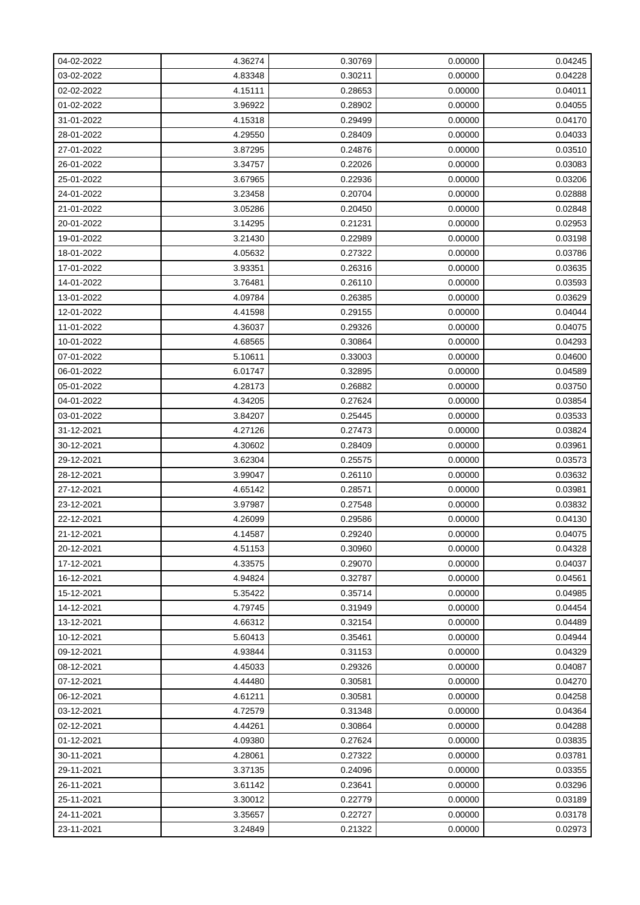| 04-02-2022 | 4.36274 | 0.30769 | 0.00000 | 0.04245 |
|------------|---------|---------|---------|---------|
| 03-02-2022 | 4.83348 | 0.30211 | 0.00000 | 0.04228 |
| 02-02-2022 | 4.15111 | 0.28653 | 0.00000 | 0.04011 |
| 01-02-2022 | 3.96922 | 0.28902 | 0.00000 | 0.04055 |
| 31-01-2022 | 4.15318 | 0.29499 | 0.00000 | 0.04170 |
| 28-01-2022 | 4.29550 | 0.28409 | 0.00000 | 0.04033 |
| 27-01-2022 | 3.87295 | 0.24876 | 0.00000 | 0.03510 |
| 26-01-2022 | 3.34757 | 0.22026 | 0.00000 | 0.03083 |
| 25-01-2022 | 3.67965 | 0.22936 | 0.00000 | 0.03206 |
| 24-01-2022 | 3.23458 | 0.20704 | 0.00000 | 0.02888 |
| 21-01-2022 | 3.05286 | 0.20450 | 0.00000 | 0.02848 |
| 20-01-2022 | 3.14295 | 0.21231 | 0.00000 | 0.02953 |
| 19-01-2022 | 3.21430 | 0.22989 | 0.00000 | 0.03198 |
| 18-01-2022 | 4.05632 | 0.27322 | 0.00000 | 0.03786 |
| 17-01-2022 | 3.93351 | 0.26316 | 0.00000 | 0.03635 |
| 14-01-2022 | 3.76481 | 0.26110 | 0.00000 | 0.03593 |
| 13-01-2022 | 4.09784 | 0.26385 | 0.00000 | 0.03629 |
| 12-01-2022 | 4.41598 | 0.29155 | 0.00000 | 0.04044 |
| 11-01-2022 | 4.36037 | 0.29326 | 0.00000 | 0.04075 |
| 10-01-2022 | 4.68565 | 0.30864 | 0.00000 | 0.04293 |
| 07-01-2022 | 5.10611 | 0.33003 | 0.00000 | 0.04600 |
| 06-01-2022 | 6.01747 | 0.32895 | 0.00000 | 0.04589 |
| 05-01-2022 | 4.28173 | 0.26882 | 0.00000 | 0.03750 |
| 04-01-2022 | 4.34205 | 0.27624 | 0.00000 | 0.03854 |
| 03-01-2022 | 3.84207 | 0.25445 | 0.00000 | 0.03533 |
| 31-12-2021 | 4.27126 | 0.27473 | 0.00000 | 0.03824 |
| 30-12-2021 | 4.30602 | 0.28409 | 0.00000 | 0.03961 |
| 29-12-2021 | 3.62304 | 0.25575 | 0.00000 | 0.03573 |
| 28-12-2021 | 3.99047 | 0.26110 | 0.00000 | 0.03632 |
| 27-12-2021 | 4.65142 | 0.28571 | 0.00000 | 0.03981 |
| 23-12-2021 | 3.97987 | 0.27548 | 0.00000 | 0.03832 |
| 22-12-2021 | 4.26099 | 0.29586 | 0.00000 | 0.04130 |
| 21-12-2021 | 4.14587 | 0.29240 | 0.00000 | 0.04075 |
| 20-12-2021 | 4.51153 | 0.30960 | 0.00000 | 0.04328 |
| 17-12-2021 | 4.33575 | 0.29070 | 0.00000 | 0.04037 |
| 16-12-2021 | 4.94824 | 0.32787 | 0.00000 | 0.04561 |
| 15-12-2021 | 5.35422 | 0.35714 | 0.00000 | 0.04985 |
| 14-12-2021 | 4.79745 | 0.31949 | 0.00000 | 0.04454 |
| 13-12-2021 | 4.66312 | 0.32154 | 0.00000 | 0.04489 |
| 10-12-2021 | 5.60413 | 0.35461 | 0.00000 | 0.04944 |
| 09-12-2021 | 4.93844 | 0.31153 | 0.00000 | 0.04329 |
| 08-12-2021 | 4.45033 | 0.29326 | 0.00000 | 0.04087 |
| 07-12-2021 | 4.44480 | 0.30581 | 0.00000 | 0.04270 |
| 06-12-2021 | 4.61211 | 0.30581 | 0.00000 | 0.04258 |
| 03-12-2021 | 4.72579 | 0.31348 | 0.00000 | 0.04364 |
| 02-12-2021 | 4.44261 | 0.30864 | 0.00000 | 0.04288 |
| 01-12-2021 | 4.09380 | 0.27624 | 0.00000 | 0.03835 |
| 30-11-2021 | 4.28061 | 0.27322 | 0.00000 | 0.03781 |
| 29-11-2021 | 3.37135 | 0.24096 | 0.00000 | 0.03355 |
| 26-11-2021 | 3.61142 | 0.23641 | 0.00000 | 0.03296 |
| 25-11-2021 | 3.30012 | 0.22779 | 0.00000 | 0.03189 |
| 24-11-2021 | 3.35657 | 0.22727 | 0.00000 | 0.03178 |
| 23-11-2021 | 3.24849 | 0.21322 | 0.00000 | 0.02973 |